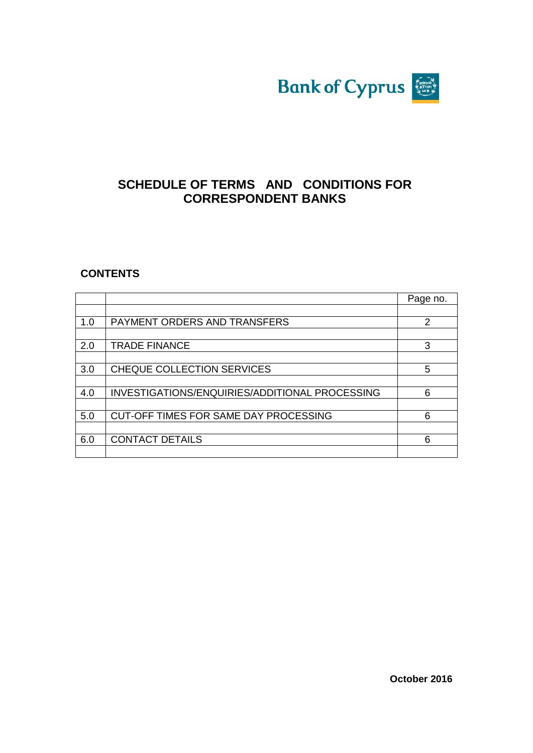

# **SCHEDULE OF TERMS AND CONDITIONS FOR CORRESPONDENT BANKS**

### **CONTENTS**

|     |                                                | Page no. |
|-----|------------------------------------------------|----------|
|     |                                                |          |
| 1.0 | PAYMENT ORDERS AND TRANSFERS                   | 2        |
|     |                                                |          |
| 2.0 | <b>TRADE FINANCE</b>                           | 3        |
|     |                                                |          |
| 3.0 | CHEQUE COLLECTION SERVICES                     | 5        |
|     |                                                |          |
| 4.0 | INVESTIGATIONS/ENQUIRIES/ADDITIONAL PROCESSING | 6        |
|     |                                                |          |
| 5.0 | CUT-OFF TIMES FOR SAME DAY PROCESSING          | 6        |
|     |                                                |          |
| 6.0 | <b>CONTACT DETAILS</b>                         | 6        |
|     |                                                |          |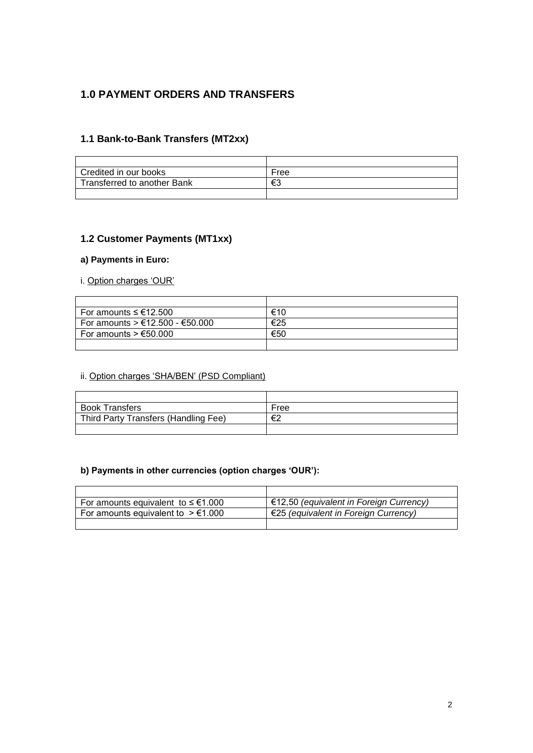# **1.0 PAYMENT ORDERS AND TRANSFERS**

#### **1.1 Bank-to-Bank Transfers (MT2xx)**

| Credited in our books       | Free |
|-----------------------------|------|
| Transferred to another Bank | €3   |
|                             |      |

#### **1.2 Customer Payments (MT1xx)**

#### **a) Payments in Euro:**

#### i. Option charges 'OUR'

| For amounts $\leq \text{\ensuremath{\mathsf{E}}}12.500$ | €10 |
|---------------------------------------------------------|-----|
| For amounts > €12.500 - €50.000                         | €25 |
| For amounts $> \text{\textsterling}50.000$              | €50 |
|                                                         |     |

#### ii. Option charges 'SHA/BEN' (PSD Compliant)

| <b>Book Transfers</b>                | Free |
|--------------------------------------|------|
| Third Party Transfers (Handling Fee) | €2   |
|                                      |      |

#### **b) Payments in other currencies (option charges 'OUR'):**

| For amounts equivalent to $\leq \text{\ensuremath{\in}} 1.000$ | €12,50 (equivalent in Foreign Currency) |
|----------------------------------------------------------------|-----------------------------------------|
| For amounts equivalent to $> \text{\ensuremath{\in}} 1.000$    | €25 (equivalent in Foreign Currency)    |
|                                                                |                                         |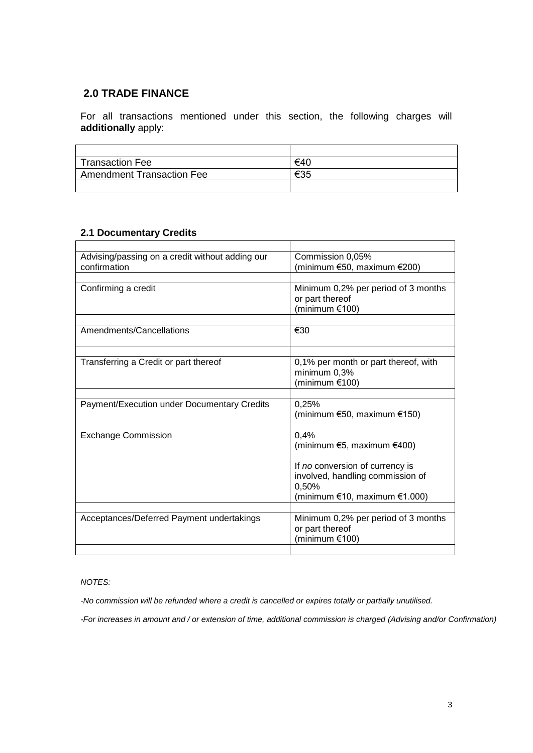### **2.0 TRADE FINANCE**

For all transactions mentioned under this section, the following charges will **additionally** apply:

| <b>Transaction Fee</b>           | €40 |
|----------------------------------|-----|
| <b>Amendment Transaction Fee</b> | €35 |
|                                  |     |

# **2.1 Documentary Credits**

| Advising/passing on a credit without adding our | Commission 0,05%                     |
|-------------------------------------------------|--------------------------------------|
| confirmation                                    | (minimum €50, maximum €200)          |
|                                                 |                                      |
| Confirming a credit                             | Minimum 0,2% per period of 3 months  |
|                                                 | or part thereof                      |
|                                                 | (minimum $£100$ )                    |
|                                                 |                                      |
| Amendments/Cancellations                        | €30                                  |
|                                                 |                                      |
| Transferring a Credit or part thereof           | 0,1% per month or part thereof, with |
|                                                 | minimum 0,3%                         |
|                                                 | (minimum $€100$ )                    |
|                                                 |                                      |
| Payment/Execution under Documentary Credits     | 0,25%                                |
|                                                 | (minimum $€50$ , maximum $€150$ )    |
| <b>Exchange Commission</b>                      | 0.4%                                 |
|                                                 | (minimum $€5$ , maximum $€400$ )     |
|                                                 |                                      |
|                                                 | If no conversion of currency is      |
|                                                 | involved, handling commission of     |
|                                                 | 0,50%                                |
|                                                 | (minimum €10, maximum €1.000)        |
|                                                 |                                      |
| Acceptances/Deferred Payment undertakings       | Minimum 0,2% per period of 3 months  |
|                                                 | or part thereof                      |
|                                                 | (minimum €100)                       |
|                                                 |                                      |

#### *NOTES:*

*-No commission will be refunded where a credit is cancelled or expires totally or partially unutilised.*

*-For increases in amount and / or extension of time, additional commission is charged (Advising and/or Confirmation)*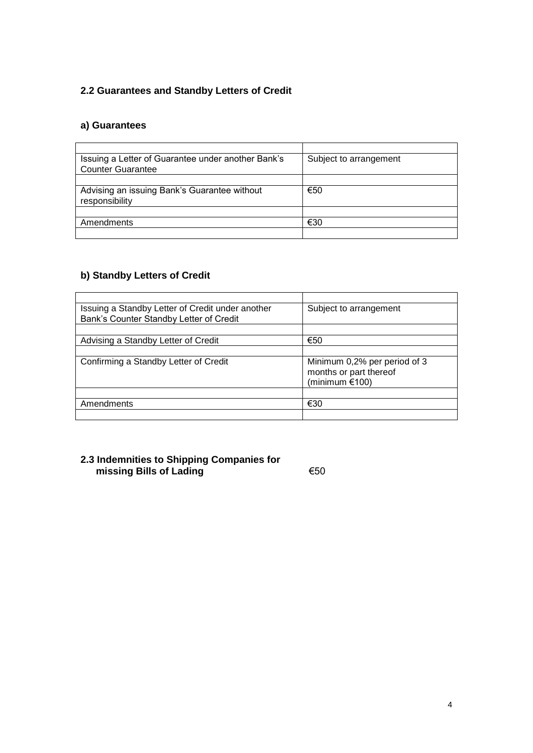# **2.2 Guarantees and Standby Letters of Credit**

### **a) Guarantees**

| Issuing a Letter of Guarantee under another Bank's | Subject to arrangement |
|----------------------------------------------------|------------------------|
| <b>Counter Guarantee</b>                           |                        |
|                                                    |                        |
| Advising an issuing Bank's Guarantee without       | €50                    |
| responsibility                                     |                        |
|                                                    |                        |
| Amendments                                         | €30                    |
|                                                    |                        |

### **b) Standby Letters of Credit**

| Issuing a Standby Letter of Credit under another | Subject to arrangement       |
|--------------------------------------------------|------------------------------|
| Bank's Counter Standby Letter of Credit          |                              |
|                                                  |                              |
| Advising a Standby Letter of Credit              | €50                          |
|                                                  |                              |
| Confirming a Standby Letter of Credit            | Minimum 0,2% per period of 3 |
|                                                  | months or part thereof       |
|                                                  | (minimum $£100$ )            |
|                                                  |                              |
| Amendments                                       | €30                          |
|                                                  |                              |

### **2.3 Indemnities to Shipping Companies for missing Bills of Lading** €50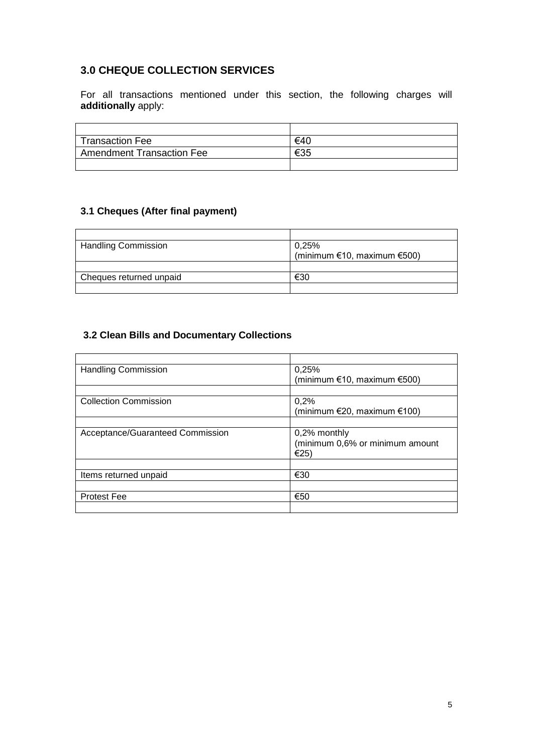# **3.0 CHEQUE COLLECTION SERVICES**

For all transactions mentioned under this section, the following charges will **additionally** apply:

| Transaction Fee           | €40 |
|---------------------------|-----|
| Amendment Transaction Fee | €35 |
|                           |     |

### **3.1 Cheques (After final payment)**

| <b>Handling Commission</b> | 0,25%                             |
|----------------------------|-----------------------------------|
|                            | (minimum $€10$ , maximum $€500$ ) |
|                            |                                   |
| Cheques returned unpaid    | €30                               |
|                            |                                   |

### **3.2 Clean Bills and Documentary Collections**

| <b>Handling Commission</b>       | 0,25%                             |
|----------------------------------|-----------------------------------|
|                                  | (minimum $€10$ , maximum $€500$ ) |
|                                  |                                   |
| <b>Collection Commission</b>     | 0,2%                              |
|                                  | (minimum $E$ 20, maximum $E$ 100) |
|                                  |                                   |
| Acceptance/Guaranteed Commission | $0,2\%$ monthly                   |
|                                  | (minimum 0,6% or minimum amount   |
|                                  | €25)                              |
|                                  |                                   |
| Items returned unpaid            | €30                               |
|                                  |                                   |
| <b>Protest Fee</b>               | €50                               |
|                                  |                                   |